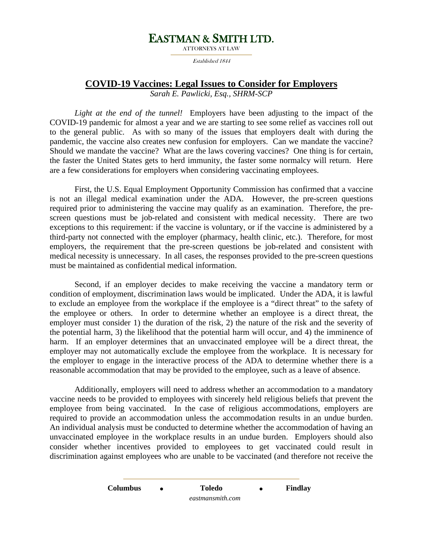## EASTMAN & SMITH LTD.

Established 1844

## **COVID-19 Vaccines: Legal Issues to Consider for Employers**

*Sarah E. Pawlicki, Esq., SHRM-SCP* 

*Light at the end of the tunnel!* Employers have been adjusting to the impact of the COVID-19 pandemic for almost a year and we are starting to see some relief as vaccines roll out to the general public. As with so many of the issues that employers dealt with during the pandemic, the vaccine also creates new confusion for employers. Can we mandate the vaccine? Should we mandate the vaccine? What are the laws covering vaccines? One thing is for certain, the faster the United States gets to herd immunity, the faster some normalcy will return. Here are a few considerations for employers when considering vaccinating employees.

First, the U.S. Equal Employment Opportunity Commission has confirmed that a vaccine is not an illegal medical examination under the ADA. However, the pre-screen questions required prior to administering the vaccine may qualify as an examination. Therefore, the prescreen questions must be job-related and consistent with medical necessity. There are two exceptions to this requirement: if the vaccine is voluntary, or if the vaccine is administered by a third-party not connected with the employer (pharmacy, health clinic, etc.). Therefore, for most employers, the requirement that the pre-screen questions be job-related and consistent with medical necessity is unnecessary. In all cases, the responses provided to the pre-screen questions must be maintained as confidential medical information.

Second, if an employer decides to make receiving the vaccine a mandatory term or condition of employment, discrimination laws would be implicated. Under the ADA, it is lawful to exclude an employee from the workplace if the employee is a "direct threat" to the safety of the employee or others. In order to determine whether an employee is a direct threat, the employer must consider 1) the duration of the risk, 2) the nature of the risk and the severity of the potential harm, 3) the likelihood that the potential harm will occur, and 4) the imminence of harm. If an employer determines that an unvaccinated employee will be a direct threat, the employer may not automatically exclude the employee from the workplace. It is necessary for the employer to engage in the interactive process of the ADA to determine whether there is a reasonable accommodation that may be provided to the employee, such as a leave of absence.

Additionally, employers will need to address whether an accommodation to a mandatory vaccine needs to be provided to employees with sincerely held religious beliefs that prevent the employee from being vaccinated. In the case of religious accommodations, employers are required to provide an accommodation unless the accommodation results in an undue burden. An individual analysis must be conducted to determine whether the accommodation of having an unvaccinated employee in the workplace results in an undue burden. Employers should also consider whether incentives provided to employees to get vaccinated could result in discrimination against employees who are unable to be vaccinated (and therefore not receive the